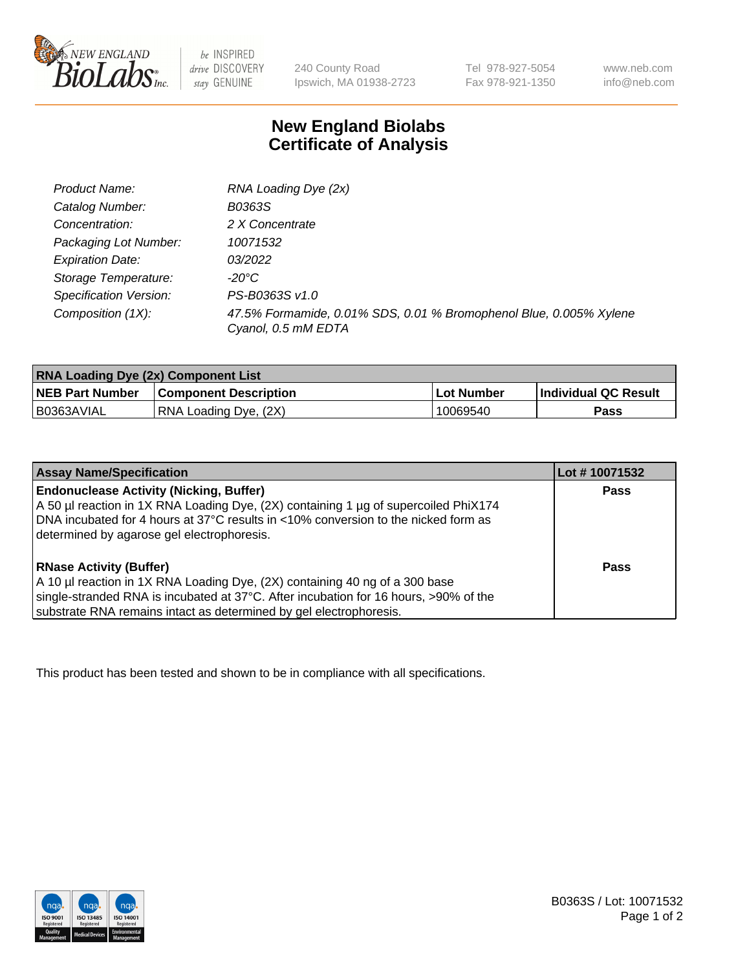

 $be$  INSPIRED drive DISCOVERY stay GENUINE

240 County Road Ipswich, MA 01938-2723 Tel 978-927-5054 Fax 978-921-1350 www.neb.com info@neb.com

## **New England Biolabs Certificate of Analysis**

| RNA Loading Dye (2x)                                                                      |
|-------------------------------------------------------------------------------------------|
| B0363S                                                                                    |
| 2 X Concentrate                                                                           |
| 10071532                                                                                  |
| 03/2022                                                                                   |
| -20°C                                                                                     |
| PS-B0363S v1.0                                                                            |
| 47.5% Formamide, 0.01% SDS, 0.01 % Bromophenol Blue, 0.005% Xylene<br>Cyanol, 0.5 mM EDTA |
|                                                                                           |

| <b>RNA Loading Dye (2x) Component List</b> |                              |                   |                       |  |
|--------------------------------------------|------------------------------|-------------------|-----------------------|--|
| <b>NEB Part Number</b>                     | <b>Component Description</b> | <b>Lot Number</b> | ∣Individual QC Result |  |
| B0363AVIAL                                 | RNA Loading Dye, (2X)        | 10069540          | Pass                  |  |

| <b>Assay Name/Specification</b>                                                                                                                                                                                             | Lot #10071532 |
|-----------------------------------------------------------------------------------------------------------------------------------------------------------------------------------------------------------------------------|---------------|
| <b>Endonuclease Activity (Nicking, Buffer)</b><br>A 50 µl reaction in 1X RNA Loading Dye, (2X) containing 1 µg of supercoiled PhiX174<br>DNA incubated for 4 hours at 37°C results in <10% conversion to the nicked form as | <b>Pass</b>   |
| determined by agarose gel electrophoresis.                                                                                                                                                                                  |               |
| <b>RNase Activity (Buffer)</b>                                                                                                                                                                                              | Pass          |
| A 10 µl reaction in 1X RNA Loading Dye, (2X) containing 40 ng of a 300 base                                                                                                                                                 |               |
| single-stranded RNA is incubated at 37°C. After incubation for 16 hours, >90% of the                                                                                                                                        |               |
| substrate RNA remains intact as determined by gel electrophoresis.                                                                                                                                                          |               |

This product has been tested and shown to be in compliance with all specifications.